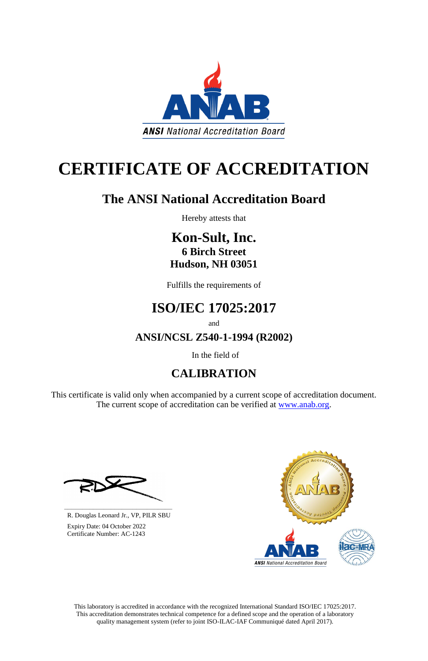This laboratory is accredited in accordance with the recognized International Standard ISO/IEC 17025:2017. This accreditation demonstrates technical competence for a defined scope and the operation of a laboratory quality management system (refer to joint ISO-ILAC-IAF Communiqué dated April 2017).

This certificate is valid only when accompanied by a current scope of accreditation document. The current scope of accreditation can be verified at [www.anab.org.](http://www.anab.org/)









# **CERTIFICATE OF ACCREDITATION**

# **The ANSI National Accreditation Board**

Hereby attests that

**Kon-Sult, Inc. 6 Birch Street Hudson, NH 03051**

Fulfills the requirements of

# **ISO/IEC 17025:2017**

and

**ANSI/NCSL Z540-1-1994 (R2002)**

In the field of

## **CALIBRATION**

**\_\_\_\_\_\_\_\_\_\_\_\_\_\_\_\_\_\_\_\_\_\_\_\_\_\_\_\_\_\_** R. Douglas Leonard Jr., VP, PILR SBU

 Expiry Date: 04 October 2022 Certificate Number: AC-1243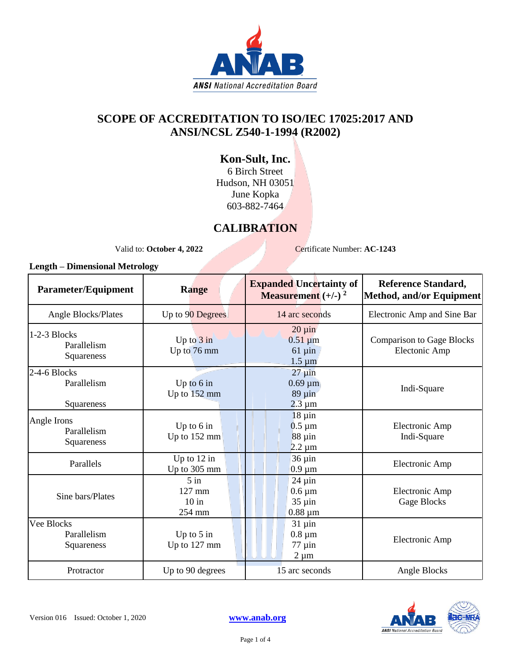

### **SCOPE OF ACCREDITATION TO ISO/IEC 17025:2017 AND ANSI/NCSL Z540-1-1994 (R2002)**

### **Kon-Sult, Inc.**

6 Birch Street Hudson, NH 03051 June Kopka 603-882-7464

### **CALIBRATION**

Valid to: **October 4, 2022** Certificate Number: **AC-1243** 

#### **Length – Dimensional Metrology**

| Parameter/Equipment                       | <b>Range</b>                        | <b>Expanded Uncertainty of</b><br><b>Measurement</b> $(+/-)$ <sup>2</sup> | <b>Reference Standard,</b><br>Method, and/or Equipment |
|-------------------------------------------|-------------------------------------|---------------------------------------------------------------------------|--------------------------------------------------------|
| <b>Angle Blocks/Plates</b>                | Up to 90 Degrees                    | 14 arc seconds                                                            | Electronic Amp and Sine Bar                            |
| 1-2-3 Blocks<br>Parallelism<br>Squareness | Up to $3$ in<br>Up to 76 mm         | $20 \mu$ in<br>$0.51 \mu m$<br>$61 \mu$ in<br>$1.5 \mu m$                 | <b>Comparison to Gage Blocks</b><br>Electonic Amp      |
| 2-4-6 Blocks<br>Parallelism<br>Squareness | Up to $6$ in<br>Up to 152 mm        | $27 \mu$ in<br>$0.69 \mu m$<br>$89 \mu in$<br>$2.3 \mu m$                 | Indi-Square                                            |
| Angle Irons<br>Parallelism<br>Squareness  | Up to 6 in<br>Up to 152 mm          | $18 \mu$ in<br>$0.5 \mu m$<br>$88 \mu in$<br>$2.2 \mu m$                  | Electronic Amp<br>Indi-Square                          |
| Parallels                                 | Up to $12$ in<br>Up to 305 mm       | $36 \mu$ in<br>$0.9 \mu m$                                                | Electronic Amp                                         |
| Sine bars/Plates                          | $5$ in<br>127 mm<br>10 in<br>254 mm | $24 \mu$ in<br>$0.6 \mu m$<br>$35 \mu$ in<br>$0.88 \mu m$                 | Electronic Amp<br>Gage Blocks                          |
| Vee Blocks<br>Parallelism<br>Squareness   | Up to $5$ in<br>Up to 127 mm        | $31 \mu$ in<br>$0.8 \mu m$<br>$77 \mu$ in<br>$2 \mu m$                    | Electronic Amp                                         |
| Protractor                                | Up to 90 degrees                    | 15 arc seconds                                                            | Angle Blocks                                           |

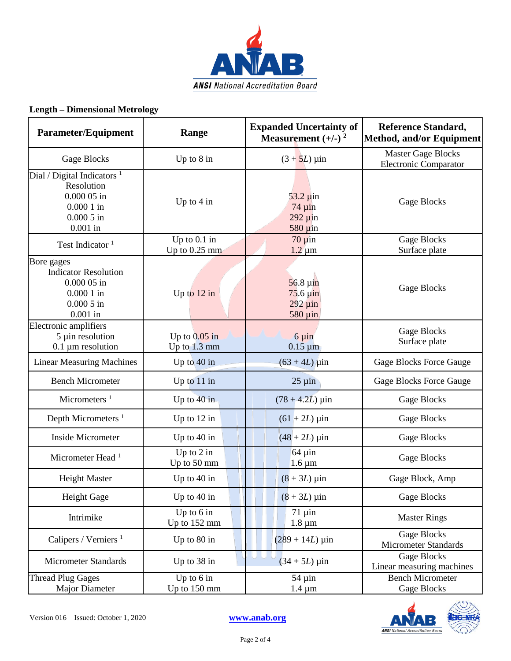

#### **Length – Dimensional Metrology**

| <b>Parameter/Equipment</b>                                                                              | Range                             | <b>Expanded Uncertainty of</b><br>Measurement $(+/-)$ <sup>2</sup>    | <b>Reference Standard,</b><br>Method, and/or Equipment    |
|---------------------------------------------------------------------------------------------------------|-----------------------------------|-----------------------------------------------------------------------|-----------------------------------------------------------|
| Gage Blocks                                                                                             | Up to $8$ in                      | $(3 + 5L)$ µin                                                        | <b>Master Gage Blocks</b><br><b>Electronic Comparator</b> |
| Dial / Digital Indicators $1$<br>Resolution<br>$0.00005$ in<br>$0.0001$ in<br>$0.0005$ in<br>$0.001$ in | Up to $4$ in                      | $53.2 \mu$ in<br>$74 \mu$ in<br>292 µin<br>$580 \mu$ in               | <b>Gage Blocks</b>                                        |
| Test Indicator <sup>1</sup>                                                                             | Up to $0.1$ in<br>Up to $0.25$ mm | $70 \mu$ in<br>$1.2 \mu m$                                            | <b>Gage Blocks</b><br>Surface plate                       |
| Bore gages<br><b>Indicator Resolution</b><br>$0.00005$ in<br>$0.0001$ in<br>$0.0005$ in<br>$0.001$ in   | Up to $12$ in                     | $56.8 \,\mu m$<br>$75.6 \,\mathrm{\mu}$ in<br>$292 \mu$ in<br>580 µin | Gage Blocks                                               |
| Electronic amplifiers<br>5 µin resolution<br>$0.1 \mu m$ resolution                                     | Up to $0.05$ in<br>Up to $1.3$ mm | $6 \mu$ in<br>$0.15 \mu m$                                            | Gage Blocks<br>Surface plate                              |
| <b>Linear Measuring Machines</b>                                                                        | Up to 40 in                       | $(63 + 4L)$ µin                                                       | <b>Gage Blocks Force Gauge</b>                            |
| <b>Bench Micrometer</b>                                                                                 | Up to 11 in                       | $25 \mu$ in                                                           | <b>Gage Blocks Force Gauge</b>                            |
| Micrometers $1$                                                                                         | Up to $40$ in                     | $(78 + 4.2L) \,\mu \text{in}$                                         | Gage Blocks                                               |
| Depth Micrometers <sup>1</sup>                                                                          | Up to $12$ in                     | $(61 + 2L) \,\mu \text{in}$                                           | Gage Blocks                                               |
| Inside Micrometer                                                                                       | Up to $40$ in                     | $(48 + 2L) \,\mu \text{in}$                                           | <b>Gage Blocks</b>                                        |
| Micrometer Head <sup>1</sup>                                                                            | Up to $2$ in<br>Up to 50 mm       | $64 \mu$ in<br>$1.6 \,\mathrm{\mu m}$                                 | <b>Gage Blocks</b>                                        |
| <b>Height Master</b>                                                                                    | Up to $40$ in                     | $(8 + 3L) \,\mu$ in                                                   | Gage Block, Amp                                           |
| Height Gage                                                                                             | Up to $40$ in                     | $(8+3L)$ µin                                                          | <b>Gage Blocks</b>                                        |
| Intrimike                                                                                               | Up to $6$ in<br>Up to 152 mm      | $71 \mu$ in<br>$1.8 \mu m$                                            | <b>Master Rings</b>                                       |
| Calipers / Verniers <sup>1</sup>                                                                        | Up to $80$ in                     | $(289 + 14L)$ µin                                                     | <b>Gage Blocks</b><br><b>Micrometer Standards</b>         |
| <b>Micrometer Standards</b>                                                                             | Up to 38 in                       | $(34 + 5L)$ µin                                                       | <b>Gage Blocks</b><br>Linear measuring machines           |
| <b>Thread Plug Gages</b><br><b>Major Diameter</b>                                                       | Up to $6$ in<br>Up to 150 mm      | $54 \mu$ in<br>$1.4 \mu m$                                            | <b>Bench Micrometer</b><br><b>Gage Blocks</b>             |



Page 2 of 4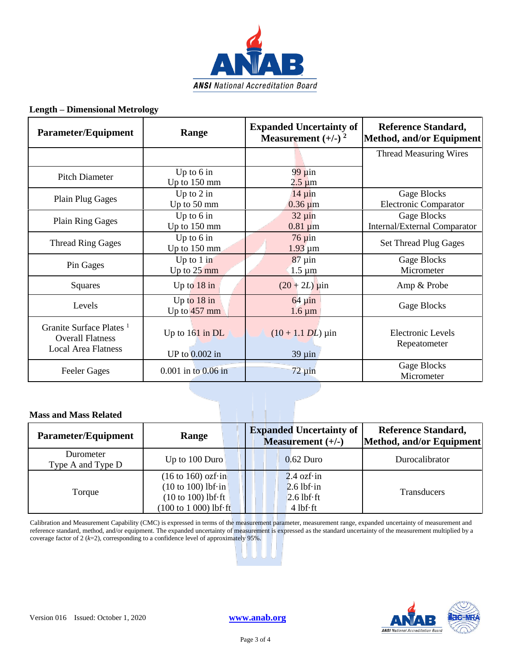

#### **Length – Dimensional Metrology**

| Parameter/Equipment                                                                          | Range                                 | <b>Expanded Uncertainty of</b><br>Measurement $(+/-)$ <sup>2</sup> | <b>Reference Standard,</b><br>Method, and/or Equipment |
|----------------------------------------------------------------------------------------------|---------------------------------------|--------------------------------------------------------------------|--------------------------------------------------------|
|                                                                                              |                                       |                                                                    | <b>Thread Measuring Wires</b>                          |
| <b>Pitch Diameter</b>                                                                        | Up to $6$ in<br>Up to $150$ mm        | $99 \mu$ in<br>$2.5 \,\mathrm{\mu m}$                              |                                                        |
| <b>Plain Plug Gages</b>                                                                      | Up to $2$ in<br>Up to 50 mm           | $14 \mu$ in<br>$0.36 \mu m$                                        | Gage Blocks<br><b>Electronic Comparator</b>            |
| <b>Plain Ring Gages</b>                                                                      | Up to $6$ in<br>Up to 150 mm          | $32 \mu$ in<br>$0.81 \mu m$                                        | Gage Blocks<br>Internal/External Comparator            |
| <b>Thread Ring Gages</b>                                                                     | Up to $6$ in<br>Up to $150$ mm        | $76 \mu$ in<br>$1.93 \mu m$                                        | <b>Set Thread Plug Gages</b>                           |
| Pin Gages                                                                                    | Up to $1$ in<br>Up to $25 \text{ mm}$ | $87 \mu$ in<br>$1.5 \mu m$                                         | Gage Blocks<br>Micrometer                              |
| Squares                                                                                      | Up to $18$ in                         | $(20 + 2L)$ µin                                                    | Amp & Probe                                            |
| Levels                                                                                       | Up to $18$ in<br>Up to $457$ mm       | $64 \mu$ in<br>$1.6 \,\mathrm{\mu m}$                              | Gage Blocks                                            |
| Granite Surface Plates <sup>1</sup><br><b>Overall Flatness</b><br><b>Local Area Flatness</b> | Up to $161$ in DL<br>UP to 0.002 in   | $(10 + 1.1$ <i>DL</i> ) $\mu$ in<br>$39 \mu$ in                    | <b>Electronic Levels</b><br>Repeatometer               |
| <b>Feeler Gages</b>                                                                          | $0.001$ in to $0.06$ in               | $72 \mu$ in                                                        | Gage Blocks<br>Micrometer                              |

#### **Mass and Mass Related**

| <b>Parameter/Equipment</b>     | Range                                                                                                                                                                  | <b>Expanded Uncertainty of</b><br>Measurement $(+/-)$                    | <b>Reference Standard,</b><br>Method, and/or Equipment |
|--------------------------------|------------------------------------------------------------------------------------------------------------------------------------------------------------------------|--------------------------------------------------------------------------|--------------------------------------------------------|
| Durometer<br>Type A and Type D | Up to 100 Duro                                                                                                                                                         | $0.62$ Duro                                                              | Durocalibrator                                         |
| Torque                         | $(16 \text{ to } 160) \text{ ozf} \cdot \text{in}$<br>$(10 \text{ to } 100)$ lbf $\cdot$ in<br>$(10 to 100)$ lbf $\cdot$ ft<br>$(100 \text{ to } 1000)$ lbf $\cdot$ ft | $2.4$ ozf $\cdot$ in<br>$2.6$ lbf·in<br>$2.6$ lbf $\cdot$ ft<br>4 lbf·ft | <b>Transducers</b>                                     |

Calibration and Measurement Capability (CMC) is expressed in terms of the measurement parameter, measurement range, expanded uncertainty of measurement and reference standard, method, and/or equipment. The expanded uncertainty of measurement is expressed as the standard uncertainty of the measurement multiplied by a coverage factor of 2 (*k*=2), corresponding to a confidence level of approximately 95%.